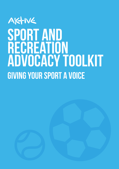### AKTIVE SPORT AND recreation advocacy ToolkiT giving your sport a voice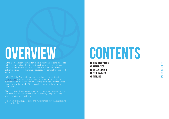In the sport and recreation sector, there is, from time to time, a need to influence policy, align with others' strategies where appropriate and influence allocation of resources. Given this, there is also the need to deliver coordinated leadership and advocacy in a compelling voice for the sector.

In 2017/18 the Auckland sport and recreation sector participated in a [Sport Matters](http://aktive.org.nz/our-work/advocacy/) campaign in response to Auckland Council's call for submissions on the Auckland Plan and Long-term Plan. This toolkit has been developed as result of this campaign for use by the sector as appropriate.

The purpose of this advocacy toolkit is to provide information, insights and ideas that will assist codes, clubs, community groups and lobby groups to advocate effectively.

It is available for groups to tailor and implement as they see appropriate for their situation.

# CONTENTS



01. What is advocacy 02. preparation 03. implemenation 04. POST CAMPAIGN 05. timeline

# OVERVIEW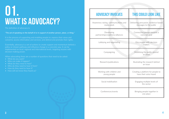The definition of advocacy is:

*"The act of speaking on the behalf of or in support of another person, place, or thing."*

It is the process of supporting and enabling people to: express their views and concerns; access information and services; and defend and promote their rights.

- What do you want?
- Who can make it happen?
- What do they need to hear?
- Who do they need to hear it from?
- How do they need to hear it?
- How will we know they heard us?



## WHAT IS ADVOCACY? 01.

Essentially, advocacy is a set of actions to create support and momentum behind a policy or chosen pathway and influence change in a concrete way. It can be implemented on local, regional and international levels, targeting anyone with decision-making power.

When advocating there are a number of questions that need to be asked:

Lobbying and negotiating **Discussions with decision** makers

Campaigning Campaigning Mobilising the public around an issue

Research/publications  $\parallel$  Illustrating the research behind an issue

Social mobilisation **Engaging multiple levels of** the sector

Conferences/events **Bringing people together in** one place

#### ADVOCACY INVOLVES THIS COULD LOOK LIKE

Awareness raising, communications and media work

Delivering persuasive, evidence-based messages to the public

Developing partnerships/coalitions/alliances

Connecting groups towards a common goal

Working with children and young people

Creating a platform for people to have their voice heard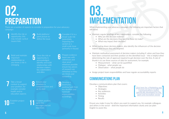When implementing your advocacy campaign, the following are important factors that will assist:

- Maintain regular briefings of key stakeholders, consider the following:
	- Who are the decision makers?
	- What are the decisions they want to (have to) make?
	- What may impact their decision?
- When noting down decision makers, also identify the influencers of the decision makers and ensure they are targeted.
- Maintain methodical assessment of decision makers including if, when and how they determining the rate of approval required to get decision over the line. A rule of thumb is to use three sources of data for assessment, for example:
	- Measurement what can be quantified
	- Dialogue what people say
	- Observation what people do
- Assign project team responsibilities and have regular accountability reports

have been contacted and their position on the identified issue – this is helpful when

### **PREPARATION** 02.

I Identify the risk or<br>
opportunity; this<br>
may include cyclical opportunity; this issues/risks

**2** Build platform/<br>paint picture to<br>define the issue paint picture to Build platform/<br>paint picture to<br>define the issue

Build and maintain important relationships so you know a risk is emerging

#### Communications Plan

Develop a communications plan that covers:

- Objectives
- Strategies
- Key audiences
- Activities
- Timing
- Results

Develop a timeframe, working back from key deadline and nominate responsibilities accordingly 9

> Ensure you make it easy for others you want to support you, for example colleagues and others in the sector - distil the important information clearly and use plain English to assist this.

10 th E stablish project eam

Establish position,<br>agree key<br>messages and set objectives

There are a number of aspects to consider in preparation for your advocacy campaign:

## 03. implementation

Consider if it is a broad scale risk (potentially impacting the sector) or a small-scale issue (primarily in-house)

5 Once the risk or opportunity is acknowledged, identify and build relationships with decision makers, key stakeholders

and allies

6

Prepare evidence base/case with references and clear proof – wherever possible ensure key pieces of research are refreshed so they are timely and compelling

7

Take a broad context to support your position, for example consider health and/or education aspects

8 Ensure your database is comprehensive and up-to-date

[Click here for a Marketing and](http://aktive.org.nz/wp-content/uploads/2018/08/MarketingToolkit_Spreads.pdf)  [Communications toolkit](http://aktive.org.nz/wp-content/uploads/2018/08/MarketingToolkit_Spreads.pdf)  [specifically developed for the](http://aktive.org.nz/wp-content/uploads/2018/08/MarketingToolkit_Spreads.pdf)  [sport and recreation sector](http://aktive.org.nz/wp-content/uploads/2018/08/MarketingToolkit_Spreads.pdf)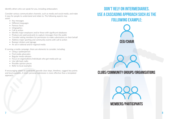Identify others who can speak for you, including ambassadors

Consider various communication channels, such as media and social media, and make it easy for people to understand and relate to. The following aspects may assist:

- Key messages
- Different languages
- Famous faces
- Infographics
- Call to action
- Identify major employers and/or those with significant databases
- Produce pre-paid postcards to capture messages from the public
- Consider asking members for permission to make submissions on their behalf
- Address major sporting and community events with call to action
- Bumper stickers and signage
- An ad in national and/or regional media

If running a media campaign, there are elements to consider, including:

- Using a spokesperson
- Find media advocates
- Regular media releases
- Focus on organisations/individuals who get media pick up
- Use talk-back radio
- Possible opinion pieces
- Refer to local examples

If encouraging others to participate, provide clear steps, timelines, suggest key points and local examples. A short, personal submission is more effective than a templated approach.



#### Don't rely on intermediaries. use a cascading approach such as the following example:

CEO/chair

#### CLUBS/COMMUNITY GROUPS/ORGANISATIONS



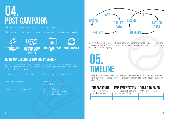The campaign may have wound up, but the work isn't over!

### post campaign 04.

The following aspects are crucial to a comprehensive and effective advocacy campaign:

Schedule regular **UPDATES** 



Acknowledge help and thank those involved







**PREPARATION** Two to four months

refresh toolkit

#### REVIEWING (DEBRIEFING) THE CAMPAIGN

### 05. TiMeline

Timing is obviously dependent on several factors including information and resources. The following is an indicative timeline that can be tailored to meet a specific campaign and timeframe:

What did you expect to happen? To what degree were your advocacy objectives met?

What didn't go so well?

ahead of due date.

**IMPLEMENTATION** 



month ahead of due date.

#### post campaign

Within two weeks of due date.

As part of the reflective process it is useful gather feedback from multiple resources and refine for next time. The following questions and diagram on page 10 are a good starting point for this process.

What actually happened? What went well?

What can we learn from this? What should we start doing?

What should we stop doing? What should we keep doing?



By using data to review your advocacy campaign actions will enable you to identify any outstanding issues. This will allow you to then come up with what you need to do next to keep the momentum going.